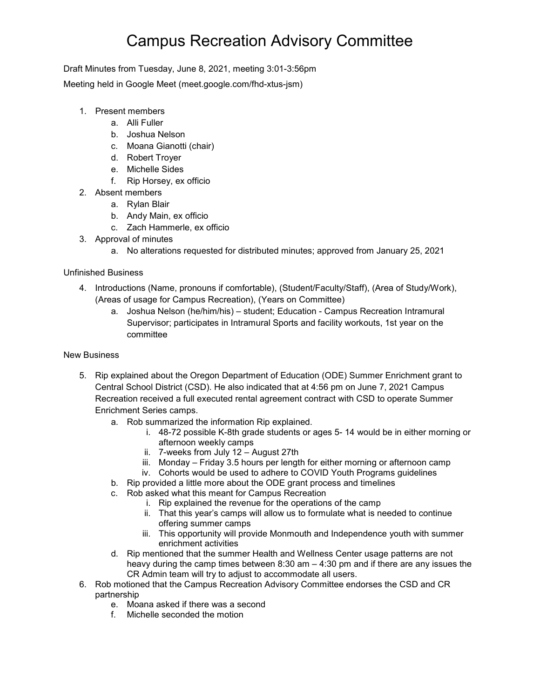## Campus Recreation Advisory Committee

Draft Minutes from Tuesday, June 8, 2021, meeting 3:01-3:56pm

Meeting held in Google Meet (meet.google.com/fhd-xtus-jsm)

- 1. Present members
	- a. Alli Fuller
	- b. Joshua Nelson
	- c. Moana Gianotti (chair)
	- d. Robert Troyer
	- e. Michelle Sides
	- f. Rip Horsey, ex officio
- 2. Absent members
	- a. Rylan Blair
	- b. Andy Main, ex officio
	- c. Zach Hammerle, ex officio
- 3. Approval of minutes
	- a. No alterations requested for distributed minutes; approved from January 25, 2021

## Unfinished Business

- 4. Introductions (Name, pronouns if comfortable), (Student/Faculty/Staff), (Area of Study/Work), (Areas of usage for Campus Recreation), (Years on Committee)
	- a. Joshua Nelson (he/him/his) student; Education Campus Recreation Intramural Supervisor; participates in Intramural Sports and facility workouts, 1st year on the committee

## New Business

- 5. Rip explained about the Oregon Department of Education (ODE) Summer Enrichment grant to Central School District (CSD). He also indicated that at 4:56 pm on June 7, 2021 Campus Recreation received a full executed rental agreement contract with CSD to operate Summer Enrichment Series camps.
	- a. Rob summarized the information Rip explained.
		- i. 48-72 possible K-8th grade students or ages 5- 14 would be in either morning or afternoon weekly camps
		- ii. 7-weeks from July 12 August 27th
		- iii. Monday Friday 3.5 hours per length for either morning or afternoon camp
		- iv. Cohorts would be used to adhere to COVID Youth Programs guidelines
	- b. Rip provided a little more about the ODE grant process and timelines
	- c. Rob asked what this meant for Campus Recreation
		- i. Rip explained the revenue for the operations of the camp
		- ii. That this year's camps will allow us to formulate what is needed to continue offering summer camps
		- iii. This opportunity will provide Monmouth and Independence youth with summer enrichment activities
	- d. Rip mentioned that the summer Health and Wellness Center usage patterns are not heavy during the camp times between 8:30 am – 4:30 pm and if there are any issues the CR Admin team will try to adjust to accommodate all users.
- 6. Rob motioned that the Campus Recreation Advisory Committee endorses the CSD and CR partnership
	- e. Moana asked if there was a second
	- f. Michelle seconded the motion